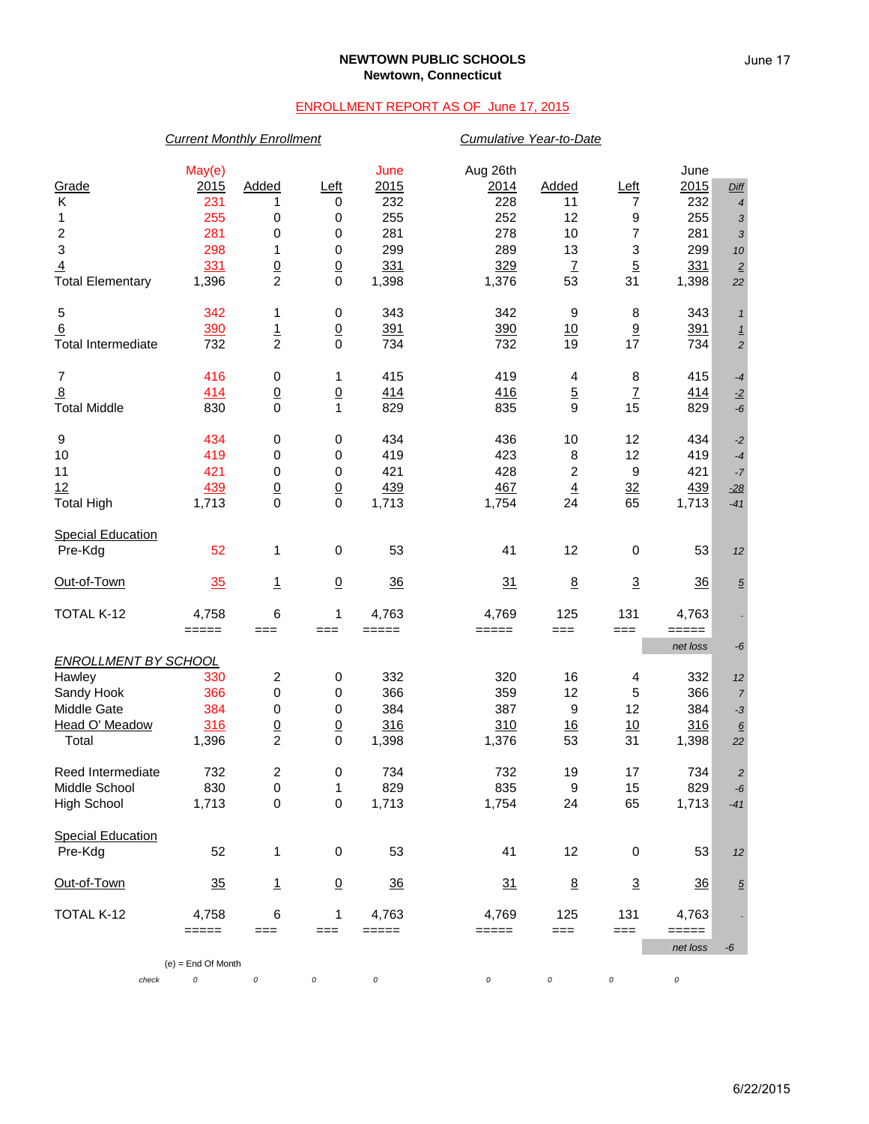### **NEWTOWN PUBLIC SCHOOLS Newtown, Connecticut**

# ENROLLMENT REPORT AS OF June 17, 2015

### *Current Monthly Enrollment Cumulative Year-to-Date*

|                             | May(e)               |                         |                 | June           | Aug 26th                                                                                                     |                  |                 | June            |                          |
|-----------------------------|----------------------|-------------------------|-----------------|----------------|--------------------------------------------------------------------------------------------------------------|------------------|-----------------|-----------------|--------------------------|
| Grade                       | 2015                 | Added                   | Left            | 2015           | <u>2014</u>                                                                                                  | Added            | Left            | 2015            | Diff                     |
| Κ                           | 231                  | 1                       | 0               | 232            | 228                                                                                                          | 11               | 7               | 232             | $\overline{4}$           |
| 1                           | 255                  | 0                       | 0               | 255            | 252                                                                                                          | 12               | 9               | 255             | 3                        |
| $\overline{\mathbf{c}}$     | 281                  | 0                       | 0               | 281            | 278                                                                                                          | 10               | 7               | 281             | 3                        |
| 3                           | 298                  | 1                       | 0               | 299            | 289                                                                                                          | 13               | 3               | 299             | 10                       |
| $\overline{4}$              | 331                  |                         | $\overline{0}$  | 331            | 329                                                                                                          | $\overline{1}$   | $\overline{5}$  | 331             | $\underline{\mathbf{2}}$ |
| <b>Total Elementary</b>     | 1,396                | $\frac{0}{2}$           | $\mathbf 0$     | 1,398          | 1,376                                                                                                        | 53               | 31              | 1,398           | 22                       |
| 5                           | 342                  | 1                       | $\pmb{0}$       | 343            | 342                                                                                                          | 9                | 8               | 343             | $\mathbf{1}$             |
| 6                           | 390                  |                         | $\overline{0}$  | 391            | 390                                                                                                          | 10               | $\underline{9}$ | 391             | $\overline{1}$           |
| <b>Total Intermediate</b>   | 732                  | $\frac{1}{2}$           | $\mathbf 0$     | 734            | 732                                                                                                          | 19               | 17              | 734             | $\overline{c}$           |
|                             |                      |                         |                 |                |                                                                                                              |                  |                 |                 |                          |
| $\overline{7}$              | 416                  | 0                       | 1               | 415            | 419                                                                                                          | 4                | 8               | 415             | -4                       |
| $\overline{8}$              | 414                  | $\overline{0}$          | $\frac{0}{1}$   | 414            | 416                                                                                                          | $\overline{5}$   | $\overline{1}$  | 414             | $-2$                     |
| <b>Total Middle</b>         | 830                  | $\mathbf 0$             |                 | 829            | 835                                                                                                          | 9                | 15              | 829             | -6                       |
| 9                           | 434                  | $\pmb{0}$               | 0               | 434            | 436                                                                                                          | 10               | 12              | 434             | $-2$                     |
| 10                          | 419                  | 0                       | 0               | 419            | 423                                                                                                          | 8                | 12              | 419             | $-4$                     |
| 11                          | 421                  | 0                       | 0               | 421            | 428                                                                                                          | $\boldsymbol{2}$ | 9               | 421             | $-7$                     |
| 12                          | 439                  | $\underline{0}$         | $\overline{0}$  | 439            | 467                                                                                                          | $\underline{4}$  | 32              | 439             | $-28$                    |
| <b>Total High</b>           | 1,713                | 0                       | $\mathbf 0$     | 1,713          | 1,754                                                                                                        | 24               | 65              | 1,713           | $-41$                    |
| <b>Special Education</b>    |                      |                         |                 |                |                                                                                                              |                  |                 |                 |                          |
| Pre-Kdg                     | 52                   | 1                       | $\pmb{0}$       | 53             | 41                                                                                                           | 12               | $\pmb{0}$       | 53              | 12                       |
| Out-of-Town                 | 35                   | $\overline{1}$          | $\underline{0}$ | $\frac{36}{5}$ | 31                                                                                                           | $\underline{8}$  | $\overline{3}$  | $\overline{36}$ | $\overline{5}$           |
| TOTAL K-12                  | 4,758                | 6                       | 1               | 4,763          | 4,769                                                                                                        | 125              | 131             | 4,763           |                          |
|                             | $=====$              | ===                     | $==$            | $=====$        | =====                                                                                                        | $==$             | ===             | =====           |                          |
|                             |                      |                         |                 |                |                                                                                                              |                  |                 | net loss        | -6                       |
| <b>ENROLLMENT BY SCHOOL</b> |                      |                         |                 |                |                                                                                                              |                  |                 |                 |                          |
| Hawley                      | 330                  | $\overline{\mathbf{c}}$ | 0               | 332            | 320                                                                                                          | 16               | 4               | 332             | 12                       |
| Sandy Hook                  | 366                  | 0                       | 0               | 366            | 359                                                                                                          | 12               | 5               | 366             | $\overline{7}$           |
| Middle Gate                 | 384                  | 0                       | 0               | 384            | 387                                                                                                          | 9                | 12              | 384             | $-3$                     |
| Head O' Meadow              | 316                  | $\underline{0}$         | $\overline{0}$  | 316            | 310                                                                                                          | $\underline{16}$ | 10              | 316             | $\underline{6}$          |
| Total                       | 1,396                | $\overline{c}$          | $\mathbf 0$     | 1,398          | 1,376                                                                                                        | 53               | 31              | 1,398           | 22                       |
| Reed Intermediate           | 732                  | 2                       | 0               | 734            | 732                                                                                                          | 19               | 17              | 734             | $\overline{c}$           |
| Middle School               | 830                  | 0                       | 1               | 829            | 835                                                                                                          | 9                | 15              | 829             | - $6\,$                  |
| <b>High School</b>          | 1,713                | $\pmb{0}$               | $\pmb{0}$       | 1,713          | 1,754                                                                                                        | 24               | 65              | 1,713           | $-41$                    |
| <b>Special Education</b>    |                      |                         |                 |                |                                                                                                              |                  |                 |                 |                          |
| Pre-Kdg                     | 52                   | 1                       | $\pmb{0}$       | 53             | 41                                                                                                           | 12               | 0               | 53              | 12                       |
| Out-of-Town                 | 35                   | $\overline{1}$          | $\overline{0}$  | 36             | 31                                                                                                           | $\underline{8}$  | $\overline{3}$  | $\frac{36}{5}$  | $\overline{5}$           |
|                             |                      |                         |                 |                |                                                                                                              |                  |                 |                 |                          |
| TOTAL K-12                  | 4,758<br>=====       | 6<br>$==$               | 1<br>$==$       | 4,763<br>===== | 4,769<br>$\qquad \qquad \doteq \qquad \qquad \doteq \qquad \qquad \doteq \qquad \qquad \doteq \qquad \qquad$ | 125<br>$==$      | 131<br>$==$     | 4,763<br>=====  |                          |
|                             |                      |                         |                 |                |                                                                                                              |                  |                 | net loss        | -6                       |
|                             | $(e) =$ End Of Month |                         |                 |                |                                                                                                              |                  |                 |                 |                          |
| check                       | 0                    | $\cal O$                | 0               | 0              | 0                                                                                                            | 0                | 0               | 0               |                          |